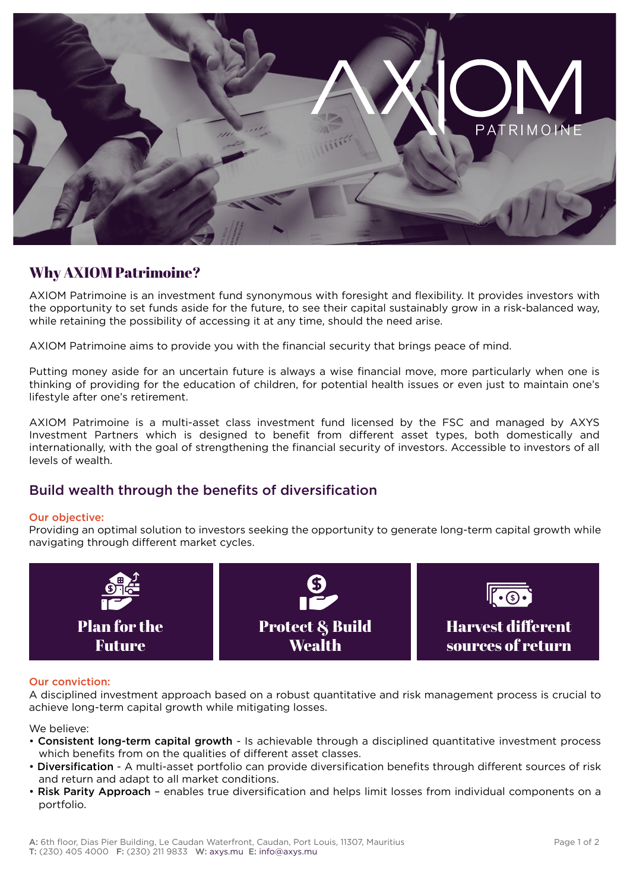

# Why AXIOM Patrimoine?

AXIOM Patrimoine is an investment fund synonymous with foresight and flexibility. It provides investors with the opportunity to set funds aside for the future, to see their capital sustainably grow in a risk-balanced way, while retaining the possibility of accessing it at any time, should the need arise.

AXIOM Patrimoine aims to provide you with the financial security that brings peace of mind.

Putting money aside for an uncertain future is always a wise financial move, more particularly when one is thinking of providing for the education of children, for potential health issues or even just to maintain one's lifestyle after one's retirement.

AXIOM Patrimoine is a multi-asset class investment fund licensed by the FSC and managed by AXYS Investment Partners which is designed to benefit from different asset types, both domestically and internationally, with the goal of strengthening the financial security of investors. Accessible to investors of all levels of wealth.

### Build wealth through the benefits of diversification

### Our objective:

Providing an optimal solution to investors seeking the opportunity to generate long-term capital growth while navigating through different market cycles.



### Our conviction:

A disciplined investment approach based on a robust quantitative and risk management process is crucial to achieve long-term capital growth while mitigating losses.

We believe:

- Consistent long-term capital growth Is achievable through a disciplined quantitative investment process which benefits from on the qualities of different asset classes.
- Diversification A multi-asset portfolio can provide diversification benefits through different sources of risk and return and adapt to all market conditions.
- Risk Parity Approach enables true diversification and helps limit losses from individual components on a portfolio.